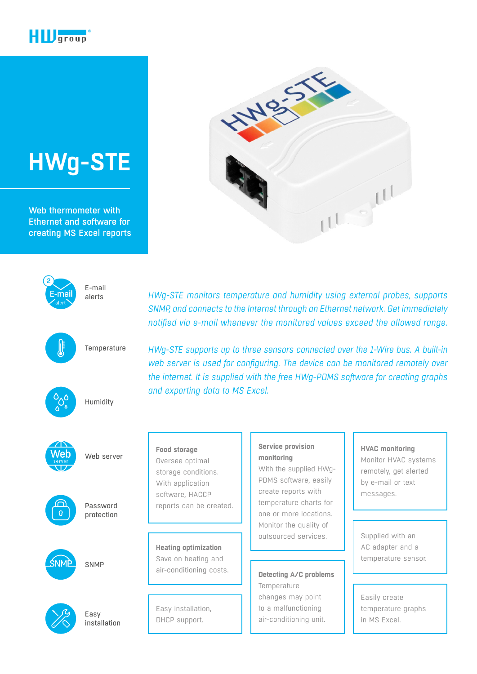

# **[HWg-STE](https://www.hw-group.com/node/3429)**

Web thermometer with Ethernet and software for creating MS Excel reports





鳭

E-mail alerts

**Temperature** 



Ver

Humidity

Web server



Password protection

SNMP



Easy installation *HWg-STE monitors temperature and humidity using external probes, supports SNMP, and connects to the Internet through an Ethernet network. Get immediately notified via e-mail whenever the monitored values exceed the allowed range.*

*HWg-STE supports up to three sensors connected over the 1-Wire bus. A built-in web server is used for configuring. The device can be monitored remotely over the internet. It is supplied with the free HWg-PDMS software for creating graphs and exporting data to MS Excel.*

### **Food storage**  Oversee optimal storage conditions. With application software, HACCP reports can be created.

**Heating optimization**  Save on heating and air-conditioning costs.

Easy installation, DHCP support.

#### **Service provision monitoring**

With the supplied HWg-PDMS software, easily create reports with temperature charts for one or more locations. Monitor the quality of outsourced services.

## **Detecting A/C problems**

**Temperature** changes may point to a malfunctioning air-conditioning unit.

#### **HVAC monitoring**

Monitor HVAC systems remotely, get alerted by e-mail or text messages.

Supplied with an AC adapter and a temperature sensor.

Easily create temperature graphs in MS Excel.